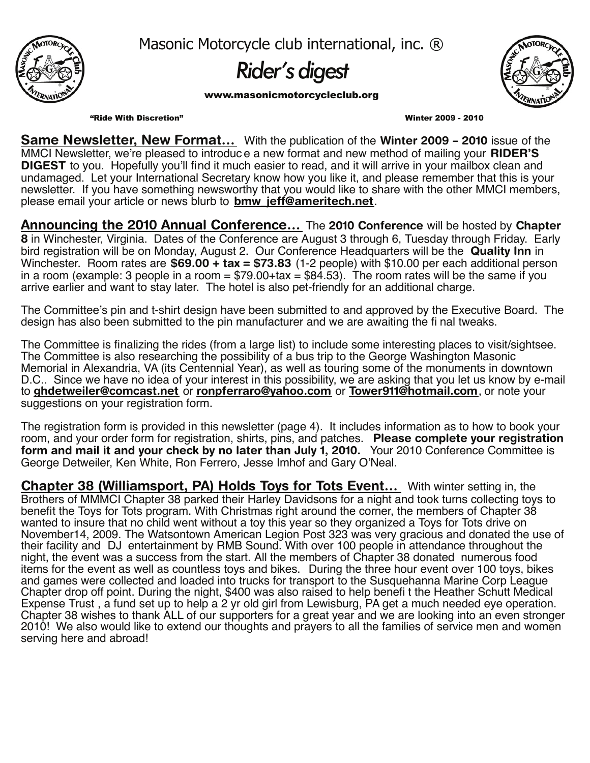

Masonic Motorcycle club international, inc. ®

# *Rider's digest*

www.masonicmotorcycleclub.org



"Ride With Discretion" Winter 2009 - 2010

**Same Newsletter, New Format…** With the publication of the **Winter 2009 – 2010** issue of the MMCI Newsletter, we're pleased to introduc e a new format and new method of mailing your **RIDER'S DIGEST** to you. Hopefully you'll find it much easier to read, and it will arrive in your mailbox clean and undamaged. Let your International Secretary know how you like it, and please remember that this is your newsletter. If you have something newsworthy that you would like to share with the other MMCI members, please email your article or news blurb to **bmw\_jeff@ameritech.net**.

**Announcing the 2010 Annual Conference…** The **2010 Conference** will be hosted by **Chapter 8** in Winchester, Virginia. Dates of the Conference are August 3 through 6, Tuesday through Friday. Early bird registration will be on Monday, August 2. Our Conference Headquarters will be the **Quality Inn** in Winchester. Room rates are **\$69.00 + tax = \$73.83** (1-2 people) with \$10.00 per each additional person in a room (example: 3 people in a room  $= $79.00+$ tax  $= $84.53$ ). The room rates will be the same if you arrive earlier and want to stay later. The hotel is also pet-friendly for an additional charge.

The Committee's pin and t-shirt design have been submitted to and approved by the Executive Board. The design has also been submitted to the pin manufacturer and we are awaiting the fi nal tweaks.

The Committee is finalizing the rides (from a large list) to include some interesting places to visit/sightsee. The Committee is also researching the possibility of a bus trip to the George Washington Masonic Memorial in Alexandria, VA (its Centennial Year), as well as touring some of the monuments in downtown D.C.. Since we have no idea of your interest in this possibility, we are asking that you let us know by e-mail to **ghdetweiler@comcast.net** or **ronpferraro@yahoo.com** or **Tower911@hotmail.com**, or note your suggestions on your registration form.

The registration form is provided in this newsletter (page 4). It includes information as to how to book your room, and your order form for registration, shirts, pins, and patches. **Please complete your registration form and mail it and your check by no later than July 1, 2010.** Your 2010 Conference Committee is George Detweiler, Ken White, Ron Ferrero, Jesse Imhof and Gary O'Neal.

**Chapter 38 (Williamsport, PA) Holds Toys for Tots Event…** With winter setting in, the Brothers of MMMCI Chapter 38 parked their Harley Davidsons for a night and took turns collecting toys to benefit the Toys for Tots program. With Christmas right around the corner, the members of Chapter 38 wanted to insure that no child went without a toy this year so they organized a Toys for Tots drive on November14, 2009. The Watsontown American Legion Post 323 was very gracious and donated the use of their facility and DJ entertainment by RMB Sound. With over 100 people in attendance throughout the night, the event was a success from the start. All the members of Chapter 38 donated numerous food items for the event as well as countless toys and bikes. During the three hour event over 100 toys, bikes and games were collected and loaded into trucks for transport to the Susquehanna Marine Corp League Chapter drop off point. During the night, \$400 was also raised to help benefi t the Heather Schutt Medical Expense Trust, a fund set up to help a 2 yr old girl from Lewisburg, PA get a much needed eye operation. Chapter 38 wishes to thank ALL of our supporters for a great year and we are looking into an even stronger 2010! We also would like to extend our thoughts and prayers to all the families of service men and women serving here and abroad!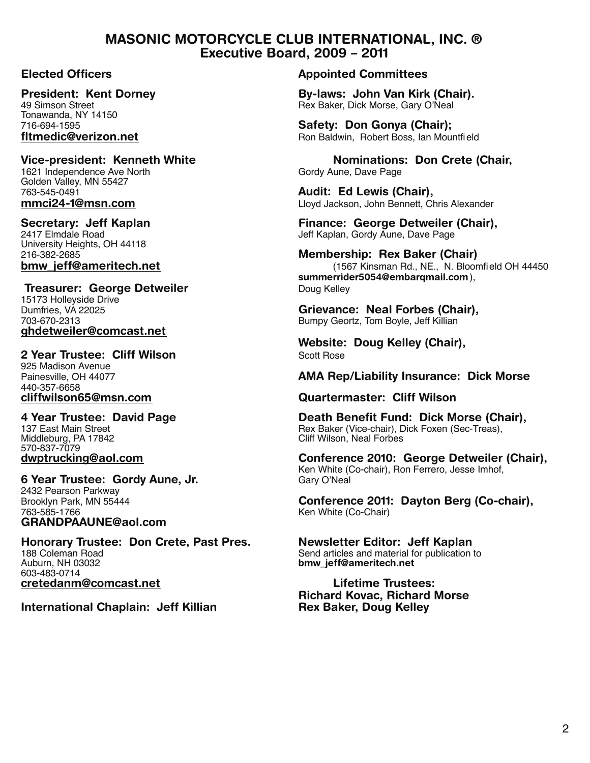## **MASONIC MOTORCYCLE CLUB INTERNATIONAL, INC. ® Executive Board, 2009 – 2011**

Tonawanda, NY 14150

1621 Independence Ave North Golden Valley, MN 55427<br>763-545-0491

University Heights, OH 44118

**Treasurer: George Detweiler Doug Kelley** Doug Kelley 15173 Holleyside Drive<br>Dumfries, VA 22025 703-670-2313 Bumpy Geortz, Tom Boyle, Jeff Killian **ghdetweiler@comcast.net**

**2 Year Trustee: Cliff Wilson** Scott Rose 925 Madison Avenue<br>Painesville, OH 44077 440-357-6658<br>cliffwilson65@msn.com

Middleburg, PA 17842 570-837-7079<br>dwptrucking@aol.com

**6 Year Trustee: Gordy Aune, Jr.** 2432 Pearson Parkway 763-585-1766 Ken White (Co-Chair) **GRANDPAAUNE@aol.com**

**Honorary Trustee: Don Crete, Past Pres. Newsletter Editor: Jeff Kaplan**<br>188 Coleman Road **Send articles and material for publication** 188 Coleman Road **Send articles and material for publication to**<br>Auburn, NH 03032 **Send articles and material for publication to**<br>**Send articles and material for publication to the contract of the contract of the contract** 603-483-0714 **cretedanm@comcast.net Lifetime Trustees:**

**International Chaplain: Jeff Killian Rex Baker, Doug Kelley**

### **Elected Officers Appointed Committees**

**President: Kent Dorney <b>By-laws: John Van Kirk (Chair).**<br>49 Simson Street **Bex Baker Dick Morse Gary O'Neal** Rex Baker, Dick Morse, Gary O'Neal

716-694-1595 **Safety: Don Gonya (Chair); fitmedic@verizon.net** Mateur Ron Baldwin, Robert Boss, Ian Mountfield Ron Baldwin, Robert Boss, Ian Mountfield

**Vice-president: Kenneth White**<br>1621 Independence Ave North **White** Gordy Aune, Dave Page

763-545-0491 **Audit: Ed Lewis (Chair), mmci24-1@msn.com** Lloyd Jackson, John Bennett, Chris Alexander

**Secretary: Jeff Kaplan Finance: George Detweiler (Chair),**<br>2417 Elmdale Road **Finance: George Detweiler (Chair),**<br>Jeff Kaplan, Gordy Aune, Dave Page Jeff Kaplan, Gordy Aune, Dave Page

**Membership: Rex Baker (Chair) bmw\_jeff@ameritech.net** (1567 Kinsman Rd., NE., N. Bloomfield OH 44450 **summerrider5054@embarqmail.com**),

Grievance: Neal Forbes (Chair),

**Website: Doug Kelley (Chair),**

**AMA Rep/Liability Insurance: Dick Morse** 

**cliffwilson65@msn.com Quartermaster: Cliff Wilson**

**4 Year Trustee: David Page Death Benefit Fund: Dick Morse (Chair),** Rex Baker (Vice-chair), Dick Foxen (Sec-Treas),<br>Cliff Wilson, Neal Forbes

> **Conference 2010: George Detweiler (Chair),** Ken White (Co-chair), Ron Ferrero, Jesse Imhof,

Brooklyn Park, MN 55444 **Conference 2011: Dayton Berg (Co-chair),**

**bmw** jeff@ameritech.net

**Richard Kovac, Richard Morse**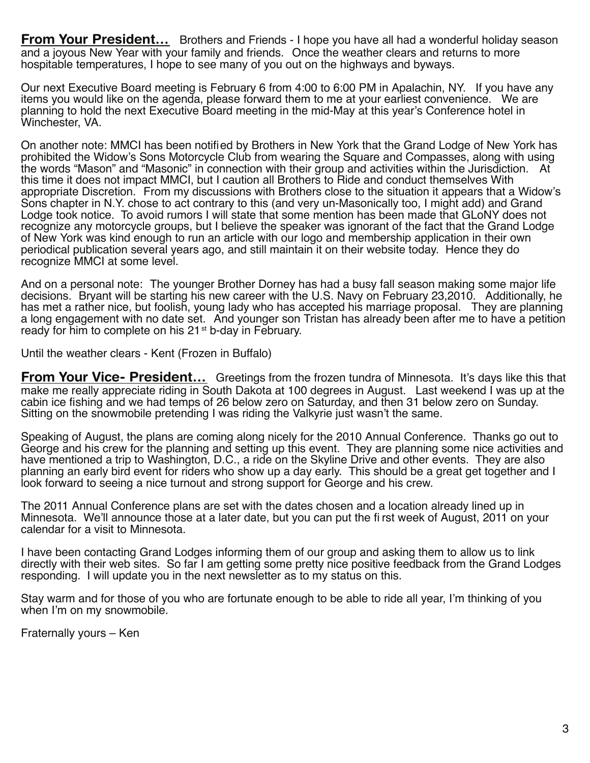**From Your President...** Brothers and Friends - I hope you have all had a wonderful holiday season and a joyous New Year with your family and friends. Once the weather clears and returns to more hospitable temperatures, I hope to see many of you out on the highways and byways.

Our next Executive Board meeting is February 6 from 4:00 to 6:00 PM in Apalachin, NY. If you have any items you would like on the agenda, please forward them to me at your earliest convenience. We are planning to hold the next Executive Board meeting in the mid-May at this year's Conference hotel in Winchester, VA.

On another note: MMCI has been notified by Brothers in New York that the Grand Lodge of New York has prohibited the Widow's Sons Motorcycle Club from wearing the Square and Compasses, along with using the words "Mason" and "Masonic" in connection with their group and activities within the Jurisdiction. At this time it does not impact MMCI, but I caution all Brothers to Ride and conduct themselves With appropriate Discretion. From my discussions with Brothers close to the situation it appears that a Widow's Sons chapter in N.Y. chose to act contrary to this (and very un-Masonically too, I might add) and Grand Lodge took notice. To avoid rumors I will state that some mention has been made that GLoNY does not recognize any motorcycle groups, but I believe the speaker was ignorant of the fact that the Grand Lodge of New York was kind enough to run an article with our logo and membership application in their own periodical publication several years ago, and still maintain it on their website today. Hence they do recognize MMCI at some level.

And on a personal note: The younger Brother Dorney has had a busy fall season making some major life decisions. Bryant will be starting his new career with the U.S. Navy on February 23,2010. Additionally, he has met a rather nice, but foolish, young lady who has accepted his marriage proposal. They are planning a long engagement with no date set. And younger son Tristan has already been after me to have a petition ready for him to complete on his 21<sup>st</sup> b-day in February.

Until the weather clears - Kent (Frozen in Buffalo)

**From Your Vice- President...** Greetings from the frozen tundra of Minnesota. It's days like this that make me really appreciate riding in South Dakota at 100 degrees in August. Last weekend I was up at the cabin ice fishing and we had temps of 26 below zero on Saturday, and then 31 below zero on Sunday. Sitting on the snowmobile pretending I was riding the Valkyrie just wasn't the same.

Speaking of August, the plans are coming along nicely for the 2010 Annual Conference. Thanks go out to George and his crew for the planning and setting up this event. They are planning some nice activities and have mentioned a trip to Washington, D.C., a ride on the Skyline Drive and other events. They are also planning an early bird event for riders who show up a day early. This should be a great get together and I look forward to seeing a nice turnout and strong support for George and his crew.

The 2011 Annual Conference plans are set with the dates chosen and a location already lined up in Minnesota. We'll announce those at a later date, but you can put the fi rst week of August, 2011 on your calendar for a visit to Minnesota.

I have been contacting Grand Lodges informing them of our group and asking them to allow us to link directly with their web sites. So far I am getting some pretty nice positive feedback from the Grand Lodges responding. I will update you in the next newsletter as to my status on this.

Stay warm and for those of you who are fortunate enough to be able to ride all year, I'm thinking of you when I'm on my snowmobile.

Fraternally yours – Ken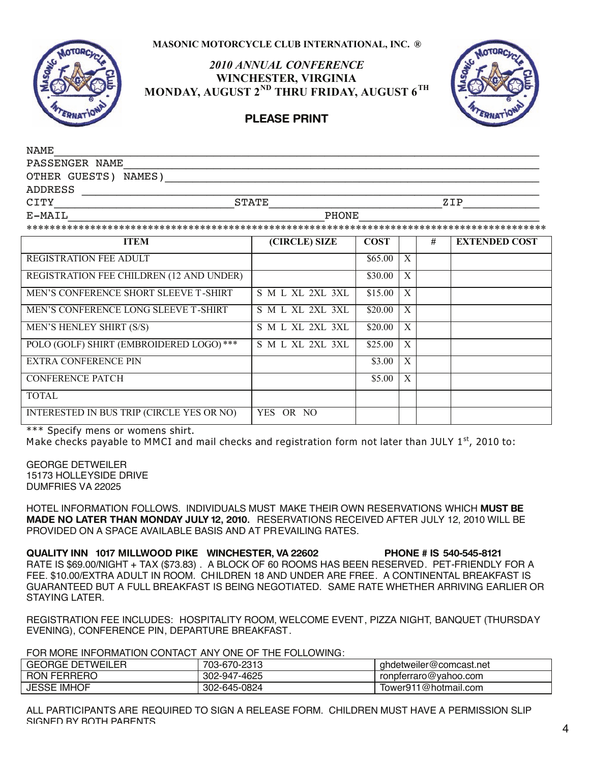#### **MASONIC MOTORCYCLE CLUB INTERNATIONAL, INC. ®**



### *2010 ANNUAL CONFERENCE* **WINCHESTER, VIRGINIA MONDAY, AUGUST 2ND THRU FRIDAY, AUGUST 6TH**



# **PLEASE PRINT**

| <b>STATE</b><br>ZIP <b>EXAMPLE</b> |               |             |                                                                                                                                                                                                                                                           |                      |
|------------------------------------|---------------|-------------|-----------------------------------------------------------------------------------------------------------------------------------------------------------------------------------------------------------------------------------------------------------|----------------------|
| <b>PHONE</b>                       |               |             |                                                                                                                                                                                                                                                           |                      |
|                                    |               |             |                                                                                                                                                                                                                                                           |                      |
|                                    |               |             | #                                                                                                                                                                                                                                                         | <b>EXTENDED COST</b> |
|                                    |               |             |                                                                                                                                                                                                                                                           |                      |
|                                    |               |             |                                                                                                                                                                                                                                                           |                      |
| S M L XL 2XL 3XL                   |               |             |                                                                                                                                                                                                                                                           |                      |
| S M L XL 2XL 3XL                   |               |             |                                                                                                                                                                                                                                                           |                      |
| S M L XL 2XL 3XL                   |               |             |                                                                                                                                                                                                                                                           |                      |
| S M L XL 2XL 3XL                   |               |             |                                                                                                                                                                                                                                                           |                      |
|                                    |               |             |                                                                                                                                                                                                                                                           |                      |
|                                    |               |             |                                                                                                                                                                                                                                                           |                      |
|                                    |               |             |                                                                                                                                                                                                                                                           |                      |
| YES OR NO                          |               |             |                                                                                                                                                                                                                                                           |                      |
|                                    | (CIRCLE) SIZE | <b>COST</b> | <u> 1989 - Johann John Stoff, amerikan besteht als der stadt i den stadt i den stadt i den stadt i den stadt i de</u><br>$$65.00 \mid X$<br>$$30.00 \mid X$<br>$$15.00$   X<br>$$20.00$ X<br>$$20.00$ X<br>$$25.00 \mid X$<br>$$3.00$ X<br>$$5.00 \mid X$ |                      |

\*\*\* Specify mens or womens shirt.

Make checks payable to MMCI and mail checks and registration form not later than JULY  $1<sup>st</sup>$ , 2010 to:

GEORGE DETWEILER 15173 HOLLEYSIDE DRIVE DUMFRIES VA 22025

HOTEL INFORMATION FOLLOWS. INDIVIDUALS MUST MAKE THEIR OWN RESERVATIONS WHICH **MUST BE** HOTEL INFORMATION FOLLOWS. INDIVIDUALS MUST MAKE THEIR OWN RESERVATIONS WHICH **MUST BE MADE NO LATER THAN MONDAY JULY 12, 2010.** RESERVATIONS RECEIVED AFTER JULY 12, 2010 WILL BE **MADE NO LATER THAN MONDAY JULY 12, 2010.** RESERVATIONS RECEIVED AFTER JULY 12, 2010 WILL BE PROVIDED ON A SPACE AVAILABLE BASIS AND AT PREVAILING RATES.

**QUALITY INN 1017 MILLWOOD PIKE WINCHESTER, VA 22602 PHONE # IS 540-545-8121 QUALITY INN 1017 MILLWOOD PIKE WINCHESTER, VA 22602 PHONE # IS 540-545-8121** RATE IS \$69.00/NIGHT + TAX (\$73.83) . A BLOCK OF 60 ROOMS HAS BEEN RESERVED. PET-FRIENDLY FOR A RATE IS \$69.00/NIGHT + TAX (\$73.83) . A BLOCK OF 60 ROOMS HAS BEEN RESERVED. PET-FRIENDLY FOR A FEE. \$10.00/EXTRA ADULT IN ROOM. CHILDREN 18 AND UNDER ARE FREE. A CONTINENTAL BREAKFAST IS FEE. \$10.00/EXTRA ADULT IN ROOM. CHILDREN 18 AND UNDER ARE FREE. A CONTINENTAL BREAKFAST IS GUARANTEED BUT A FULL BREAKFAST IS BEING NEGOTIATED. SAME RATE WHETHER ARRIVING EARLIER OR GUARANTEED BUT A FULL BREAKFAST IS BEING NEGOTIATED. SAME RATE WHETHER ARRIVING EARLIER OR STAYING LATER.

REGISTRATION FEE INCLUDES: HOSPITALITY ROOM, WELCOME EVENT, PIZZA NIGHT, BANQUET (THURSDAY REGISTRATION FEE INCLUDES: HOSPITALITY ROOM, WELCOME EVENT, PIZZA NIGHT, BANQUET (THURSDAY EVENING), CONFERENCE PIN, DEPARTURE BREAKFAST.

FOR MORE INFORMATION CONTACT ANY ONE OF THE FOLLOWING:

| <b>GEORGE DETWEILER</b><br>GEUN | 703-670-2313                     | l ghdetweiler@comcast.net |
|---------------------------------|----------------------------------|---------------------------|
| <b>RON FERRERO</b>              | $\sqrt{2}$<br>302-947-<br>7-4625 | ronpferraro@yahoo.com     |
| <b>JESSE IMHOF</b>              | 302-645-0824                     | Tower911@hotmail.com      |

ALL PARTICIPANTS ARE REQUIRED TO SIGN A RELEASE FORM. CHILDREN MUST HAVE A PERMISSION SLIP ALL PARTICIPANTS ARE REQUIRED TO SIGN A RELEASE FORM. CHILDREN MUST HAVE A PERMISSION SLIP SIGNED BY BOTH PARENTS.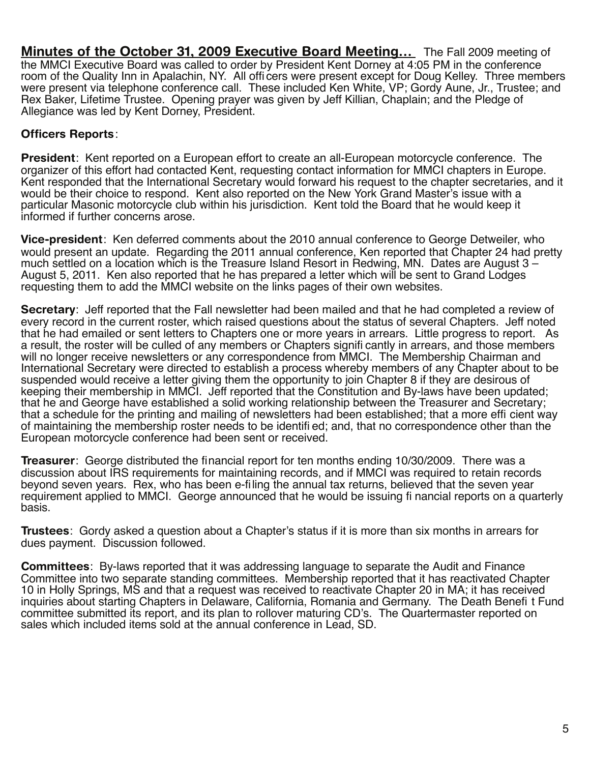**Minutes of the October 31, 2009 Executive Board Meeting…** The Fall 2009 meeting of the MMCI Executive Board was called to order by President Kent Dorney at 4:05 PM in the conference room of the Quality Inn in Apalachin, NY. All officers were present except for Doug Kelley. Three members were present via telephone conference call. These included Ken White, VP; Gordy Aune, Jr., Trustee; and Rex Baker, Lifetime Trustee. Opening prayer was given by Jeff Killian, Chaplain; and the Pledge of Allegiance was led by Kent Dorney, President.

# **Officers Reports**:

**President**: Kent reported on a European effort to create an all-European motorcycle conference. The organizer of this effort had contacted Kent, requesting contact information for MMCI chapters in Europe. Kent responded that the International Secretary would forward his request to the chapter secretaries, and it would be their choice to respond. Kent also reported on the New York Grand Master's issue with a particular Masonic motorcycle club within his jurisdiction. Kent told the Board that he would keep it informed if further concerns arose.

**Vice-president**: Ken deferred comments about the 2010 annual conference to George Detweiler, who would present an update. Regarding the 2011 annual conference, Ken reported that Chapter 24 had pretty much settled on a location which is the Treasure Island Resort in Redwing, MN. Dates are August 3 – August 5, 2011. Ken also reported that he has prepared a letter which will be sent to Grand Lodges requesting them to add the MMCI website on the links pages of their own websites.

**Secretary**: Jeff reported that the Fall newsletter had been mailed and that he had completed a review of every record in the current roster, which raised questions about the status of several Chapters. Jeff noted that he had emailed or sent letters to Chapters one or more years in arrears. Little progress to report. As a result, the roster will be culled of any members or Chapters signifi cantly in arrears, and those members will no longer receive newsletters or any correspondence from MMCI. The Membership Chairman and International Secretary were directed to establish a process whereby members of any Chapter about to be suspended would receive a letter giving them the opportunity to join Chapter 8 if they are desirous of keeping their membership in MMCI. Jeff reported that the Constitution and By-laws have been updated; that he and George have established a solid working relationship between the Treasurer and Secretary; that a schedule for the printing and mailing of newsletters had been established; that a more effi cient way of maintaining the membership roster needs to be identifi ed; and, that no correspondence other than the European motorcycle conference had been sent or received.

**Treasurer**: George distributed the financial report for ten months ending 10/30/2009. There was a discussion about IRS requirements for maintaining records, and if MMCI was required to retain records beyond seven years. Rex, who has been e-filing the annual tax returns, believed that the seven year requirement applied to MMCI. George announced that he would be issuing fi nancial reports on a quarterly basis.

**Trustees**: Gordy asked a question about a Chapter's status if it is more than six months in arrears for dues payment. Discussion followed.

**Committees**: By-laws reported that it was addressing language to separate the Audit and Finance Committee into two separate standing committees. Membership reported that it has reactivated Chapter 10 in Holly Springs, MS and that a request was received to reactivate Chapter 20 in MA; it has received inquiries about starting Chapters in Delaware, California, Romania and Germany. The Death Benefi t Fund committee submitted its report, and its plan to rollover maturing CD's. The Quartermaster reported on sales which included items sold at the annual conference in Lead, SD.